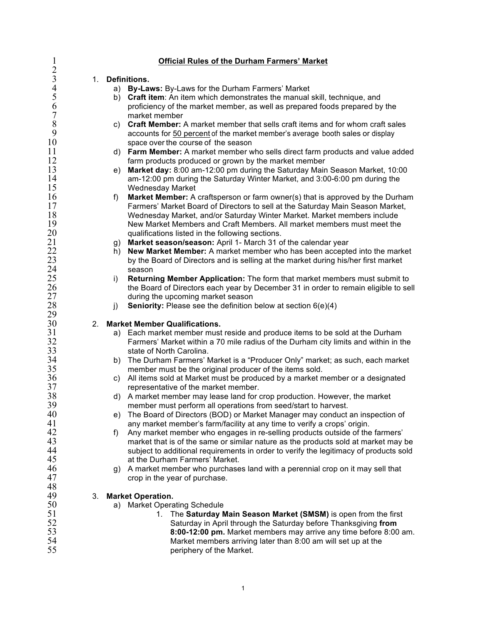| $\mathbf{I}$                       |    | <b>Official Rules of the Durham Farmers' Market</b>                                   |
|------------------------------------|----|---------------------------------------------------------------------------------------|
| $\overline{2}$<br>$\mathfrak{Z}$   |    |                                                                                       |
| 4                                  | 1. | Definitions.                                                                          |
| 5                                  |    | By-Laws: By-Laws for the Durham Farmers' Market<br>a)                                 |
| 6                                  |    | Craft item: An item which demonstrates the manual skill, technique, and<br>b)         |
| $\boldsymbol{7}$                   |    | proficiency of the market member, as well as prepared foods prepared by the           |
| 8                                  |    | market member                                                                         |
| 9                                  |    | c) Craft Member: A market member that sells craft items and for whom craft sales      |
|                                    |    | accounts for 50 percent of the market member's average booth sales or display         |
| 10                                 |    | space over the course of the season                                                   |
| 11                                 |    | d) Farm Member: A market member who sells direct farm products and value added        |
| 12                                 |    | farm products produced or grown by the market member                                  |
| 13                                 |    | Market day: 8:00 am-12:00 pm during the Saturday Main Season Market, 10:00<br>e)      |
| 14                                 |    | am-12:00 pm during the Saturday Winter Market, and 3:00-6:00 pm during the            |
| 15                                 |    | <b>Wednesday Market</b>                                                               |
| 16                                 |    | Market Member: A craftsperson or farm owner(s) that is approved by the Durham<br>f)   |
| 17                                 |    | Farmers' Market Board of Directors to sell at the Saturday Main Season Market,        |
| 18                                 |    | Wednesday Market, and/or Saturday Winter Market. Market members include               |
| 19                                 |    | New Market Members and Craft Members. All market members must meet the                |
| 20                                 |    | qualifications listed in the following sections.                                      |
| 21                                 |    | Market season/season: April 1- March 31 of the calendar year<br>g)                    |
| $\frac{22}{23}$                    |    | New Market Member: A market member who has been accepted into the market<br>h)        |
|                                    |    | by the Board of Directors and is selling at the market during his/her first market    |
| $\frac{24}{25}$<br>$\frac{26}{15}$ |    | season                                                                                |
|                                    |    | Returning Member Application: The form that market members must submit to<br>i)       |
|                                    |    | the Board of Directors each year by December 31 in order to remain eligible to sell   |
| 27                                 |    | during the upcoming market season                                                     |
| 28                                 |    | <b>Seniority:</b> Please see the definition below at section $6(e)(4)$<br>j)          |
| 29<br>30                           | 2. | <b>Market Member Qualifications.</b>                                                  |
| 31                                 |    | a) Each market member must reside and produce items to be sold at the Durham          |
| 32                                 |    | Farmers' Market within a 70 mile radius of the Durham city limits and within in the   |
| 33                                 |    | state of North Carolina.                                                              |
| 34                                 |    | The Durham Farmers' Market is a "Producer Only" market; as such, each market<br>b)    |
| 35                                 |    | member must be the original producer of the items sold.                               |
| 36                                 |    | All items sold at Market must be produced by a market member or a designated<br>C)    |
| 37                                 |    | representative of the market member.                                                  |
| 38                                 |    | d) A market member may lease land for crop production. However, the market            |
| 39                                 |    | member must perform all operations from seed/start to harvest.                        |
| 40                                 |    | The Board of Directors (BOD) or Market Manager may conduct an inspection of<br>e)     |
| 41                                 |    | any market member's farm/facility at any time to verify a crops' origin.              |
| 42                                 |    | Any market member who engages in re-selling products outside of the farmers'<br>f)    |
| 43                                 |    | market that is of the same or similar nature as the products sold at market may be    |
| 44                                 |    | subject to additional requirements in order to verify the legitimacy of products sold |
| 45                                 |    | at the Durham Farmers' Market.                                                        |
| 46                                 |    | A market member who purchases land with a perennial crop on it may sell that<br>q)    |
| 47                                 |    | crop in the year of purchase.                                                         |
| 48                                 |    |                                                                                       |
| 49                                 | 3. | <b>Market Operation.</b>                                                              |
| 50                                 |    | a) Market Operating Schedule                                                          |
| 51                                 |    | The Saturday Main Season Market (SMSM) is open from the first<br>1.                   |
| 52                                 |    | Saturday in April through the Saturday before Thanksgiving from                       |
| 53                                 |    | 8:00-12:00 pm. Market members may arrive any time before 8:00 am.                     |
| 54                                 |    | Market members arriving later than 8:00 am will set up at the                         |
| 55                                 |    | periphery of the Market.                                                              |
|                                    |    |                                                                                       |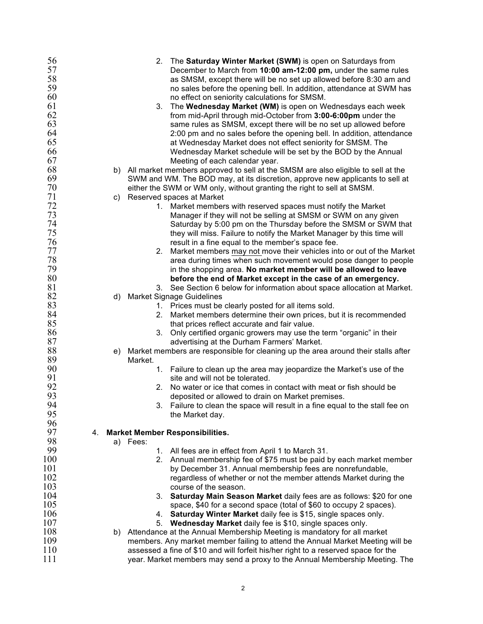| 56  |    |          | 2. The Saturday Winter Market (SWM) is open on Saturdays from                       |
|-----|----|----------|-------------------------------------------------------------------------------------|
| 57  |    |          | December to March from 10:00 am-12:00 pm, under the same rules                      |
| 58  |    |          | as SMSM, except there will be no set up allowed before 8:30 am and                  |
| 59  |    |          | no sales before the opening bell. In addition, attendance at SWM has                |
| 60  |    |          | no effect on seniority calculations for SMSM.                                       |
| 61  |    | 3.       | The Wednesday Market (WM) is open on Wednesdays each week                           |
| 62  |    |          | from mid-April through mid-October from 3:00-6:00pm under the                       |
| 63  |    |          | same rules as SMSM, except there will be no set up allowed before                   |
| 64  |    |          | 2:00 pm and no sales before the opening bell. In addition, attendance               |
| 65  |    |          | at Wednesday Market does not effect seniority for SMSM. The                         |
| 66  |    |          |                                                                                     |
|     |    |          | Wednesday Market schedule will be set by the BOD by the Annual                      |
| 67  |    |          | Meeting of each calendar year.                                                      |
| 68  |    |          | b) All market members approved to sell at the SMSM are also eligible to sell at the |
| 69  |    |          | SWM and WM. The BOD may, at its discretion, approve new applicants to sell at       |
| 70  |    |          | either the SWM or WM only, without granting the right to sell at SMSM.              |
| 71  | C) |          | Reserved spaces at Market                                                           |
| 72  |    |          | 1. Market members with reserved spaces must notify the Market                       |
| 73  |    |          | Manager if they will not be selling at SMSM or SWM on any given                     |
| 74  |    |          | Saturday by 5:00 pm on the Thursday before the SMSM or SWM that                     |
| 75  |    |          | they will miss. Failure to notify the Market Manager by this time will              |
| 76  |    |          | result in a fine equal to the member's space fee.                                   |
| 77  |    | 2.       | Market members may not move their vehicles into or out of the Market                |
| 78  |    |          | area during times when such movement would pose danger to people                    |
| 79  |    |          | in the shopping area. No market member will be allowed to leave                     |
| 80  |    |          | before the end of Market except in the case of an emergency.                        |
| 81  |    | 3.       | See Section 6 below for information about space allocation at Market.               |
| 82  | d) |          | <b>Market Signage Guidelines</b>                                                    |
| 83  |    |          | 1. Prices must be clearly posted for all items sold.                                |
| 84  |    | 2.       | Market members determine their own prices, but it is recommended                    |
| 85  |    |          | that prices reflect accurate and fair value.                                        |
| 86  |    |          | 3. Only certified organic growers may use the term "organic" in their               |
| 87  |    |          | advertising at the Durham Farmers' Market.                                          |
| 88  | e) |          | Market members are responsible for cleaning up the area around their stalls after   |
| 89  |    | Market.  |                                                                                     |
| 90  |    |          | 1. Failure to clean up the area may jeopardize the Market's use of the              |
| 91  |    |          | site and will not be tolerated.                                                     |
| 92  |    | 2.       | No water or ice that comes in contact with meat or fish should be                   |
| 93  |    |          | deposited or allowed to drain on Market premises.                                   |
| 94  |    |          |                                                                                     |
| 95  |    | 3.       | Failure to clean the space will result in a fine equal to the stall fee on          |
| 96  |    |          | the Market day.                                                                     |
| 97  |    |          |                                                                                     |
|     | 4. |          | <b>Market Member Responsibilities.</b>                                              |
| 98  |    | a) Fees: |                                                                                     |
| 99  |    |          | 1. All fees are in effect from April 1 to March 31.                                 |
| 100 |    |          | 2. Annual membership fee of \$75 must be paid by each market member                 |
| 101 |    |          | by December 31. Annual membership fees are nonrefundable,                           |
| 102 |    |          | regardless of whether or not the member attends Market during the                   |
| 103 |    |          | course of the season.                                                               |
| 104 |    | 3.       | Saturday Main Season Market daily fees are as follows: \$20 for one                 |
| 105 |    |          | space, \$40 for a second space (total of \$60 to occupy 2 spaces).                  |
| 106 |    | 4.       | Saturday Winter Market daily fee is \$15, single spaces only.                       |
| 107 |    |          | 5. Wednesday Market daily fee is \$10, single spaces only.                          |
| 108 |    |          | b) Attendance at the Annual Membership Meeting is mandatory for all market          |
| 109 |    |          | members. Any market member failing to attend the Annual Market Meeting will be      |
| 110 |    |          | assessed a fine of \$10 and will forfeit his/her right to a reserved space for the  |
| 111 |    |          | year. Market members may send a proxy to the Annual Membership Meeting. The         |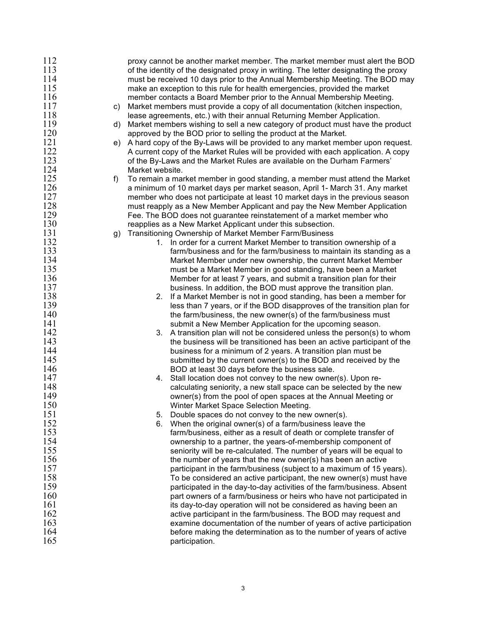| 112<br>113<br>114<br>115<br>116<br>117<br>118<br>119<br>120<br>121<br>122<br>123<br>124 | C)<br>d)<br>e) | proxy cannot be another market member. The market member must alert the BOD<br>of the identity of the designated proxy in writing. The letter designating the proxy<br>must be received 10 days prior to the Annual Membership Meeting. The BOD may<br>make an exception to this rule for health emergencies, provided the market<br>member contacts a Board Member prior to the Annual Membership Meeting.<br>Market members must provide a copy of all documentation (kitchen inspection,<br>lease agreements, etc.) with their annual Returning Member Application.<br>Market members wishing to sell a new category of product must have the product<br>approved by the BOD prior to selling the product at the Market.<br>A hard copy of the By-Laws will be provided to any market member upon request.<br>A current copy of the Market Rules will be provided with each application. A copy<br>of the By-Laws and the Market Rules are available on the Durham Farmers' |
|-----------------------------------------------------------------------------------------|----------------|--------------------------------------------------------------------------------------------------------------------------------------------------------------------------------------------------------------------------------------------------------------------------------------------------------------------------------------------------------------------------------------------------------------------------------------------------------------------------------------------------------------------------------------------------------------------------------------------------------------------------------------------------------------------------------------------------------------------------------------------------------------------------------------------------------------------------------------------------------------------------------------------------------------------------------------------------------------------------------|
| 125                                                                                     | f)             | Market website.<br>To remain a market member in good standing, a member must attend the Market                                                                                                                                                                                                                                                                                                                                                                                                                                                                                                                                                                                                                                                                                                                                                                                                                                                                                 |
| 126                                                                                     |                | a minimum of 10 market days per market season, April 1- March 31. Any market                                                                                                                                                                                                                                                                                                                                                                                                                                                                                                                                                                                                                                                                                                                                                                                                                                                                                                   |
| 127                                                                                     |                | member who does not participate at least 10 market days in the previous season                                                                                                                                                                                                                                                                                                                                                                                                                                                                                                                                                                                                                                                                                                                                                                                                                                                                                                 |
| 128                                                                                     |                | must reapply as a New Member Applicant and pay the New Member Application                                                                                                                                                                                                                                                                                                                                                                                                                                                                                                                                                                                                                                                                                                                                                                                                                                                                                                      |
| 129                                                                                     |                | Fee. The BOD does not guarantee reinstatement of a market member who                                                                                                                                                                                                                                                                                                                                                                                                                                                                                                                                                                                                                                                                                                                                                                                                                                                                                                           |
| 130                                                                                     |                | reapplies as a New Market Applicant under this subsection.                                                                                                                                                                                                                                                                                                                                                                                                                                                                                                                                                                                                                                                                                                                                                                                                                                                                                                                     |
| 131                                                                                     | g)             | Transitioning Ownership of Market Member Farm/Business                                                                                                                                                                                                                                                                                                                                                                                                                                                                                                                                                                                                                                                                                                                                                                                                                                                                                                                         |
| 132                                                                                     |                | 1. In order for a current Market Member to transition ownership of a                                                                                                                                                                                                                                                                                                                                                                                                                                                                                                                                                                                                                                                                                                                                                                                                                                                                                                           |
| 133                                                                                     |                | farm/business and for the farm/business to maintain its standing as a                                                                                                                                                                                                                                                                                                                                                                                                                                                                                                                                                                                                                                                                                                                                                                                                                                                                                                          |
| 134                                                                                     |                | Market Member under new ownership, the current Market Member                                                                                                                                                                                                                                                                                                                                                                                                                                                                                                                                                                                                                                                                                                                                                                                                                                                                                                                   |
| 135                                                                                     |                | must be a Market Member in good standing, have been a Market                                                                                                                                                                                                                                                                                                                                                                                                                                                                                                                                                                                                                                                                                                                                                                                                                                                                                                                   |
| 136                                                                                     |                | Member for at least 7 years, and submit a transition plan for their                                                                                                                                                                                                                                                                                                                                                                                                                                                                                                                                                                                                                                                                                                                                                                                                                                                                                                            |
| 137                                                                                     |                | business. In addition, the BOD must approve the transition plan.                                                                                                                                                                                                                                                                                                                                                                                                                                                                                                                                                                                                                                                                                                                                                                                                                                                                                                               |
| 138                                                                                     |                | If a Market Member is not in good standing, has been a member for<br>2.                                                                                                                                                                                                                                                                                                                                                                                                                                                                                                                                                                                                                                                                                                                                                                                                                                                                                                        |
| 139                                                                                     |                | less than 7 years, or if the BOD disapproves of the transition plan for                                                                                                                                                                                                                                                                                                                                                                                                                                                                                                                                                                                                                                                                                                                                                                                                                                                                                                        |
| 140<br>141                                                                              |                | the farm/business, the new owner(s) of the farm/business must                                                                                                                                                                                                                                                                                                                                                                                                                                                                                                                                                                                                                                                                                                                                                                                                                                                                                                                  |
| 142                                                                                     |                | submit a New Member Application for the upcoming season.<br>3.<br>A transition plan will not be considered unless the person(s) to whom                                                                                                                                                                                                                                                                                                                                                                                                                                                                                                                                                                                                                                                                                                                                                                                                                                        |
| 143                                                                                     |                | the business will be transitioned has been an active participant of the                                                                                                                                                                                                                                                                                                                                                                                                                                                                                                                                                                                                                                                                                                                                                                                                                                                                                                        |
| 144                                                                                     |                | business for a minimum of 2 years. A transition plan must be                                                                                                                                                                                                                                                                                                                                                                                                                                                                                                                                                                                                                                                                                                                                                                                                                                                                                                                   |
| 145                                                                                     |                | submitted by the current owner(s) to the BOD and received by the                                                                                                                                                                                                                                                                                                                                                                                                                                                                                                                                                                                                                                                                                                                                                                                                                                                                                                               |
| 146                                                                                     |                | BOD at least 30 days before the business sale.                                                                                                                                                                                                                                                                                                                                                                                                                                                                                                                                                                                                                                                                                                                                                                                                                                                                                                                                 |
| 147                                                                                     |                | Stall location does not convey to the new owner(s). Upon re-<br>4.                                                                                                                                                                                                                                                                                                                                                                                                                                                                                                                                                                                                                                                                                                                                                                                                                                                                                                             |
| 148                                                                                     |                | calculating seniority, a new stall space can be selected by the new                                                                                                                                                                                                                                                                                                                                                                                                                                                                                                                                                                                                                                                                                                                                                                                                                                                                                                            |
| 149                                                                                     |                | owner(s) from the pool of open spaces at the Annual Meeting or                                                                                                                                                                                                                                                                                                                                                                                                                                                                                                                                                                                                                                                                                                                                                                                                                                                                                                                 |
| 150                                                                                     |                | Winter Market Space Selection Meeting.                                                                                                                                                                                                                                                                                                                                                                                                                                                                                                                                                                                                                                                                                                                                                                                                                                                                                                                                         |
| 151                                                                                     |                | Double spaces do not convey to the new owner(s).<br>5.                                                                                                                                                                                                                                                                                                                                                                                                                                                                                                                                                                                                                                                                                                                                                                                                                                                                                                                         |
| 152                                                                                     |                | When the original owner(s) of a farm/business leave the<br>6.                                                                                                                                                                                                                                                                                                                                                                                                                                                                                                                                                                                                                                                                                                                                                                                                                                                                                                                  |
| 153                                                                                     |                | farm/business, either as a result of death or complete transfer of                                                                                                                                                                                                                                                                                                                                                                                                                                                                                                                                                                                                                                                                                                                                                                                                                                                                                                             |
| 154                                                                                     |                | ownership to a partner, the years-of-membership component of                                                                                                                                                                                                                                                                                                                                                                                                                                                                                                                                                                                                                                                                                                                                                                                                                                                                                                                   |
| 155                                                                                     |                | seniority will be re-calculated. The number of years will be equal to                                                                                                                                                                                                                                                                                                                                                                                                                                                                                                                                                                                                                                                                                                                                                                                                                                                                                                          |
| 156                                                                                     |                | the number of years that the new owner(s) has been an active                                                                                                                                                                                                                                                                                                                                                                                                                                                                                                                                                                                                                                                                                                                                                                                                                                                                                                                   |
| 157                                                                                     |                | participant in the farm/business (subject to a maximum of 15 years).                                                                                                                                                                                                                                                                                                                                                                                                                                                                                                                                                                                                                                                                                                                                                                                                                                                                                                           |
| 158                                                                                     |                | To be considered an active participant, the new owner(s) must have                                                                                                                                                                                                                                                                                                                                                                                                                                                                                                                                                                                                                                                                                                                                                                                                                                                                                                             |
| 159<br>160                                                                              |                | participated in the day-to-day activities of the farm/business. Absent                                                                                                                                                                                                                                                                                                                                                                                                                                                                                                                                                                                                                                                                                                                                                                                                                                                                                                         |
| 161                                                                                     |                | part owners of a farm/business or heirs who have not participated in                                                                                                                                                                                                                                                                                                                                                                                                                                                                                                                                                                                                                                                                                                                                                                                                                                                                                                           |
| 162                                                                                     |                | its day-to-day operation will not be considered as having been an<br>active participant in the farm/business. The BOD may request and                                                                                                                                                                                                                                                                                                                                                                                                                                                                                                                                                                                                                                                                                                                                                                                                                                          |
| 163                                                                                     |                | examine documentation of the number of years of active participation                                                                                                                                                                                                                                                                                                                                                                                                                                                                                                                                                                                                                                                                                                                                                                                                                                                                                                           |
| 164                                                                                     |                | before making the determination as to the number of years of active                                                                                                                                                                                                                                                                                                                                                                                                                                                                                                                                                                                                                                                                                                                                                                                                                                                                                                            |
| 165                                                                                     |                | participation.                                                                                                                                                                                                                                                                                                                                                                                                                                                                                                                                                                                                                                                                                                                                                                                                                                                                                                                                                                 |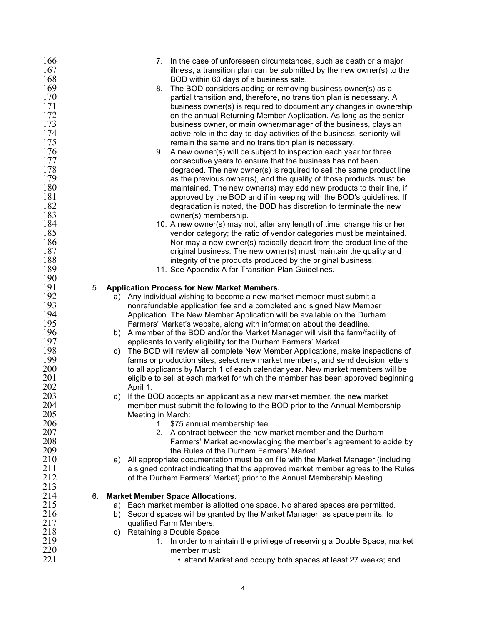| 166 |    | 7. In the case of unforeseen circumstances, such as death or a major                |
|-----|----|-------------------------------------------------------------------------------------|
| 167 |    | illness, a transition plan can be submitted by the new owner(s) to the              |
| 168 |    | BOD within 60 days of a business sale.                                              |
| 169 |    | 8.<br>The BOD considers adding or removing business owner(s) as a                   |
| 170 |    | partial transition and, therefore, no transition plan is necessary. A               |
| 171 |    | business owner(s) is required to document any changes in ownership                  |
| 172 |    | on the annual Returning Member Application. As long as the senior                   |
| 173 |    | business owner, or main owner/manager of the business, plays an                     |
| 174 |    |                                                                                     |
|     |    | active role in the day-to-day activities of the business, seniority will            |
| 175 |    | remain the same and no transition plan is necessary.                                |
| 176 |    | 9. A new owner(s) will be subject to inspection each year for three                 |
| 177 |    | consecutive years to ensure that the business has not been                          |
| 178 |    | degraded. The new owner(s) is required to sell the same product line                |
| 179 |    | as the previous owner(s), and the quality of those products must be                 |
| 180 |    | maintained. The new owner(s) may add new products to their line, if                 |
| 181 |    | approved by the BOD and if in keeping with the BOD's guidelines. If                 |
| 182 |    | degradation is noted, the BOD has discretion to terminate the new                   |
| 183 |    | owner(s) membership.                                                                |
| 184 |    | 10. A new owner(s) may not, after any length of time, change his or her             |
| 185 |    | vendor category; the ratio of vendor categories must be maintained.                 |
| 186 |    | Nor may a new owner(s) radically depart from the product line of the                |
| 187 |    | original business. The new owner(s) must maintain the quality and                   |
| 188 |    | integrity of the products produced by the original business.                        |
| 189 |    |                                                                                     |
| 190 |    | 11. See Appendix A for Transition Plan Guidelines.                                  |
|     |    |                                                                                     |
| 191 | 5. | <b>Application Process for New Market Members.</b>                                  |
| 192 |    | a) Any individual wishing to become a new market member must submit a               |
| 193 |    | nonrefundable application fee and a completed and signed New Member                 |
| 194 |    | Application. The New Member Application will be available on the Durham             |
| 195 |    | Farmers' Market's website, along with information about the deadline.               |
| 196 |    | b) A member of the BOD and/or the Market Manager will visit the farm/facility of    |
| 197 |    | applicants to verify eligibility for the Durham Farmers' Market.                    |
| 198 |    | The BOD will review all complete New Member Applications, make inspections of<br>C) |
| 199 |    | farms or production sites, select new market members, and send decision letters     |
| 200 |    | to all applicants by March 1 of each calendar year. New market members will be      |
| 201 |    | eligible to sell at each market for which the member has been approved beginning    |
| 202 |    | April 1.                                                                            |
| 203 |    | d) If the BOD accepts an applicant as a new market member, the new market           |
| 204 |    | member must submit the following to the BOD prior to the Annual Membership          |
| 205 |    | Meeting in March:                                                                   |
| 206 |    | 1. \$75 annual membership fee                                                       |
| 207 |    | 2. A contract between the new market member and the Durham                          |
| 208 |    | Farmers' Market acknowledging the member's agreement to abide by                    |
| 209 |    | the Rules of the Durham Farmers' Market.                                            |
|     |    |                                                                                     |
| 210 |    | e) All appropriate documentation must be on file with the Market Manager (including |
| 211 |    | a signed contract indicating that the approved market member agrees to the Rules    |
| 212 |    | of the Durham Farmers' Market) prior to the Annual Membership Meeting.              |
| 213 |    |                                                                                     |
| 214 | 6. | <b>Market Member Space Allocations.</b>                                             |
| 215 |    | a) Each market member is allotted one space. No shared spaces are permitted.        |
| 216 |    | Second spaces will be granted by the Market Manager, as space permits, to<br>b)     |
| 217 |    | qualified Farm Members.                                                             |
| 218 |    | Retaining a Double Space<br>C)                                                      |
| 219 |    | In order to maintain the privilege of reserving a Double Space, market<br>1.        |
| 220 |    | member must:                                                                        |
| 221 |    | • attend Market and occupy both spaces at least 27 weeks; and                       |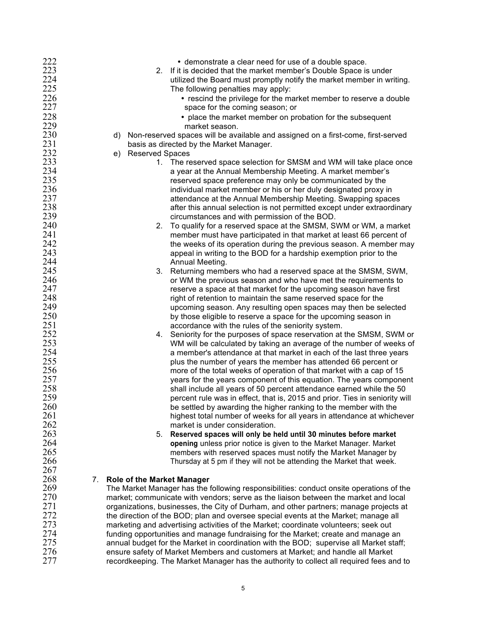| 222 |    | • demonstrate a clear need for use of a double space.                                   |
|-----|----|-----------------------------------------------------------------------------------------|
| 223 |    | If it is decided that the market member's Double Space is under<br>2.                   |
| 224 |    | utilized the Board must promptly notify the market member in writing.                   |
| 225 |    | The following penalties may apply:                                                      |
| 226 |    | • rescind the privilege for the market member to reserve a double                       |
| 227 |    | space for the coming season; or                                                         |
|     |    |                                                                                         |
| 228 |    | • place the market member on probation for the subsequent                               |
| 229 |    | market season.                                                                          |
| 230 |    | d) Non-reserved spaces will be available and assigned on a first-come, first-served     |
| 231 |    | basis as directed by the Market Manager.                                                |
| 232 |    | <b>Reserved Spaces</b><br>e)                                                            |
| 233 |    | 1. The reserved space selection for SMSM and WM will take place once                    |
| 234 |    | a year at the Annual Membership Meeting. A market member's                              |
| 235 |    | reserved space preference may only be communicated by the                               |
| 236 |    | individual market member or his or her duly designated proxy in                         |
| 237 |    | attendance at the Annual Membership Meeting. Swapping spaces                            |
| 238 |    | after this annual selection is not permitted except under extraordinary                 |
| 239 |    | circumstances and with permission of the BOD.                                           |
| 240 |    | To qualify for a reserved space at the SMSM, SWM or WM, a market<br>2.                  |
| 241 |    | member must have participated in that market at least 66 percent of                     |
| 242 |    | the weeks of its operation during the previous season. A member may                     |
| 243 |    |                                                                                         |
| 244 |    | appeal in writing to the BOD for a hardship exemption prior to the                      |
|     |    | Annual Meeting.                                                                         |
| 245 |    | Returning members who had a reserved space at the SMSM, SWM,<br>3.                      |
| 246 |    | or WM the previous season and who have met the requirements to                          |
| 247 |    | reserve a space at that market for the upcoming season have first                       |
| 248 |    | right of retention to maintain the same reserved space for the                          |
| 249 |    | upcoming season. Any resulting open spaces may then be selected                         |
| 250 |    | by those eligible to reserve a space for the upcoming season in                         |
| 251 |    | accordance with the rules of the seniority system.                                      |
| 252 |    | Seniority for the purposes of space reservation at the SMSM, SWM or<br>4.               |
| 253 |    | WM will be calculated by taking an average of the number of weeks of                    |
| 254 |    | a member's attendance at that market in each of the last three years                    |
| 255 |    | plus the number of years the member has attended 66 percent or                          |
| 256 |    | more of the total weeks of operation of that market with a cap of 15                    |
| 257 |    | years for the years component of this equation. The years component                     |
| 258 |    | shall include all years of 50 percent attendance earned while the 50                    |
| 259 |    | percent rule was in effect, that is, 2015 and prior. Ties in seniority will             |
| 260 |    | be settled by awarding the higher ranking to the member with the                        |
| 261 |    |                                                                                         |
| 262 |    | highest total number of weeks for all years in attendance at whichever                  |
|     |    | market is under consideration.                                                          |
| 263 |    | Reserved spaces will only be held until 30 minutes before market<br>5.                  |
| 264 |    | opening unless prior notice is given to the Market Manager. Market                      |
| 265 |    | members with reserved spaces must notify the Market Manager by                          |
| 266 |    | Thursday at 5 pm if they will not be attending the Market that week.                    |
| 267 |    |                                                                                         |
| 268 | 7. | <b>Role of the Market Manager</b>                                                       |
| 269 |    | The Market Manager has the following responsibilities: conduct onsite operations of the |
| 270 |    | market; communicate with vendors; serve as the liaison between the market and local     |
| 271 |    | organizations, businesses, the City of Durham, and other partners; manage projects at   |
| 272 |    | the direction of the BOD; plan and oversee special events at the Market; manage all     |
| 273 |    | marketing and advertising activities of the Market; coordinate volunteers; seek out     |
| 274 |    | funding opportunities and manage fundraising for the Market; create and manage an       |
| 275 |    | annual budget for the Market in coordination with the BOD; supervise all Market staff;  |
| 276 |    | ensure safety of Market Members and customers at Market; and handle all Market          |
| 277 |    | recordkeeping. The Market Manager has the authority to collect all required fees and to |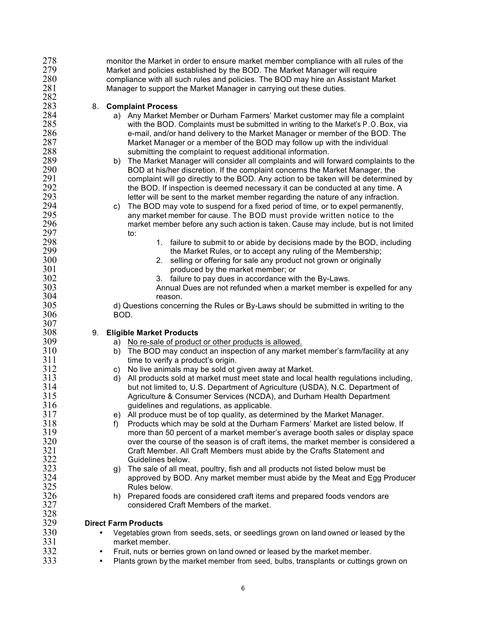| 278        |           | monitor the Market in order to ensure market member compliance with all rules of the                |
|------------|-----------|-----------------------------------------------------------------------------------------------------|
| 279        |           | Market and policies established by the BOD. The Market Manager will require                         |
| 280        |           | compliance with all such rules and policies. The BOD may hire an Assistant Market                   |
| 281        |           | Manager to support the Market Manager in carrying out these duties.                                 |
| 282        |           |                                                                                                     |
| 283        | 8.        | <b>Complaint Process</b>                                                                            |
| 284        |           | a) Any Market Member or Durham Farmers' Market customer may file a complaint                        |
| 285        |           | with the BOD. Complaints must be submitted in writing to the Market's P.O. Box, via                 |
| 286        |           |                                                                                                     |
|            |           | e-mail, and/or hand delivery to the Market Manager or member of the BOD. The                        |
| 287        |           | Market Manager or a member of the BOD may follow up with the individual                             |
| 288        |           | submitting the complaint to request additional information.                                         |
| 289        |           | The Market Manager will consider all complaints and will forward complaints to the<br>b)            |
| 290        |           | BOD at his/her discretion. If the complaint concerns the Market Manager, the                        |
| 291        |           | complaint will go directly to the BOD. Any action to be taken will be determined by                 |
| 292        |           | the BOD. If inspection is deemed necessary it can be conducted at any time. A                       |
| 293        |           | letter will be sent to the market member regarding the nature of any infraction.                    |
| 294        |           | The BOD may vote to suspend for a fixed period of time, or to expel permanently,<br>C)              |
| 295        |           | any market member for cause. The BOD must provide written notice to the                             |
| 296        |           | market member before any such action is taken. Cause may include, but is not limited                |
| 297        |           | to:                                                                                                 |
| 298        |           | 1. failure to submit to or abide by decisions made by the BOD, including                            |
| 299        |           | the Market Rules, or to accept any ruling of the Membership;                                        |
| 300        |           | selling or offering for sale any product not grown or originally<br>2.                              |
| 301        |           | produced by the market member; or                                                                   |
| 302        |           | 3. failure to pay dues in accordance with the By-Laws.                                              |
| 303        |           | Annual Dues are not refunded when a market member is expelled for any                               |
| 304        |           |                                                                                                     |
| 305        |           | reason.                                                                                             |
|            |           | d) Questions concerning the Rules or By-Laws should be submitted in writing to the                  |
| 306<br>307 |           | BOD.                                                                                                |
|            |           |                                                                                                     |
| 308        | 9.        | <b>Eligible Market Products</b>                                                                     |
| 309        |           | No re-sale of product or other products is allowed.<br>a)                                           |
| 310        |           | The BOD may conduct an inspection of any market member's farm/facility at any<br>b)                 |
| 311        |           | time to verify a product's origin.                                                                  |
| 312        |           | No live animals may be sold ot given away at Market.<br>C)                                          |
| 313        |           | All products sold at market must meet state and local health regulations including,<br>$\mathsf{d}$ |
| 314        |           | but not limited to, U.S. Department of Agriculture (USDA), N.C. Department of                       |
| 315        |           | Agriculture & Consumer Services (NCDA), and Durham Health Department                                |
| 316        |           | guidelines and regulations, as applicable.                                                          |
| 317        |           | e) All produce must be of top quality, as determined by the Market Manager.                         |
| 318        |           | Products which may be sold at the Durham Farmers' Market are listed below. If<br>f)                 |
| 319        |           | more than 50 percent of a market member's average booth sales or display space                      |
| 320        |           | over the course of the season is of craft items, the market member is considered a                  |
| 321        |           | Craft Member. All Craft Members must abide by the Crafts Statement and                              |
| 322        |           | Guidelines below.                                                                                   |
| 323        |           | The sale of all meat, poultry, fish and all products not listed below must be<br>g)                 |
| 324        |           | approved by BOD. Any market member must abide by the Meat and Egg Producer                          |
| 325        |           | Rules below.                                                                                        |
| 326        |           | h) Prepared foods are considered craft items and prepared foods vendors are                         |
| 327        |           | considered Craft Members of the market.                                                             |
| 328        |           |                                                                                                     |
| 329        |           | <b>Direct Farm Products</b>                                                                         |
| 330        | ٠         | Vegetables grown from seeds, sets, or seedlings grown on land owned or leased by the                |
| 331        |           | market member.                                                                                      |
| 332        |           | Fruit, nuts or berries grown on land owned or leased by the market member.                          |
| 333        | $\bullet$ | Plants grown by the market member from seed, bulbs, transplants or cuttings grown on                |
|            |           |                                                                                                     |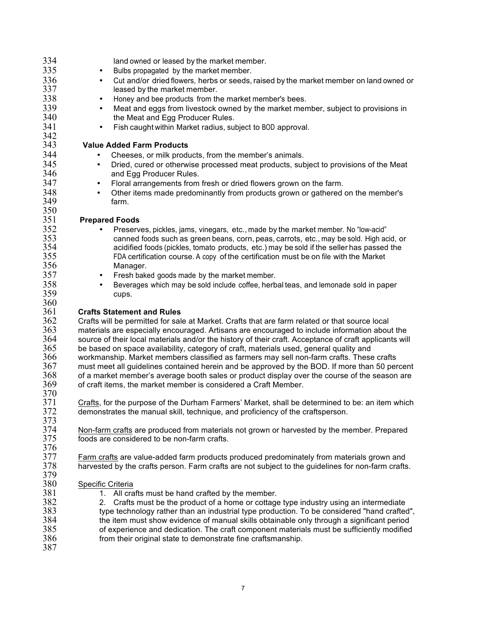| 334        | land owned or leased by the market member.                                                                                                                                                              |
|------------|---------------------------------------------------------------------------------------------------------------------------------------------------------------------------------------------------------|
| 335        | Bulbs propagated by the market member.<br>٠                                                                                                                                                             |
| 336        | Cut and/or dried flowers, herbs or seeds, raised by the market member on land owned or<br>$\bullet$                                                                                                     |
| 337        | leased by the market member.                                                                                                                                                                            |
| 338        | Honey and bee products from the market member's bees.<br>$\bullet$                                                                                                                                      |
| 339        | Meat and eggs from livestock owned by the market member, subject to provisions in<br>$\bullet$                                                                                                          |
| 340        | the Meat and Egg Producer Rules.                                                                                                                                                                        |
| 341        | Fish caught within Market radius, subject to BOD approval.<br>$\bullet$                                                                                                                                 |
| 342        |                                                                                                                                                                                                         |
| 343        | <b>Value Added Farm Products</b>                                                                                                                                                                        |
| 344        | Cheeses, or milk products, from the member's animals.                                                                                                                                                   |
| 345        | Dried, cured or otherwise processed meat products, subject to provisions of the Meat<br>$\bullet$                                                                                                       |
| 346        | and Egg Producer Rules.                                                                                                                                                                                 |
| 347        | Floral arrangements from fresh or dried flowers grown on the farm.<br>$\bullet$                                                                                                                         |
| 348        | Other items made predominantly from products grown or gathered on the member's<br>$\bullet$                                                                                                             |
| 349        | farm.                                                                                                                                                                                                   |
| 350        |                                                                                                                                                                                                         |
| 351        | <b>Prepared Foods</b>                                                                                                                                                                                   |
| 352        | Preserves, pickles, jams, vinegars, etc., made by the market member. No "low-acid"                                                                                                                      |
| 353        | canned foods such as green beans, corn, peas, carrots, etc., may be sold. High acid, or                                                                                                                 |
| 354        | acidified foods (pickles, tomato products, etc.) may be sold if the seller has passed the                                                                                                               |
| 355        | FDA certification course. A copy of the certification must be on file with the Market                                                                                                                   |
| 356        | Manager.                                                                                                                                                                                                |
| 357        | Fresh baked goods made by the market member.<br>$\bullet$                                                                                                                                               |
| 358        | Beverages which may be sold include coffee, herbal teas, and lemonade sold in paper<br>$\bullet$                                                                                                        |
| 359        | cups.                                                                                                                                                                                                   |
| 360        |                                                                                                                                                                                                         |
| 361<br>362 | <b>Crafts Statement and Rules</b>                                                                                                                                                                       |
| 363        | Crafts will be permitted for sale at Market. Crafts that are farm related or that source local                                                                                                          |
| 364        | materials are especially encouraged. Artisans are encouraged to include information about the<br>source of their local materials and/or the history of their craft. Acceptance of craft applicants will |
| 365        | be based on space availability, category of craft, materials used, general quality and                                                                                                                  |
| 366        | workmanship. Market members classified as farmers may sell non-farm crafts. These crafts                                                                                                                |
| 367        | must meet all guidelines contained herein and be approved by the BOD. If more than 50 percent                                                                                                           |
| 368        | of a market member's average booth sales or product display over the course of the season are                                                                                                           |
| 369        | of craft items, the market member is considered a Craft Member.                                                                                                                                         |
| 370        |                                                                                                                                                                                                         |
| 371        | Crafts, for the purpose of the Durham Farmers' Market, shall be determined to be: an item which                                                                                                         |
| 372        | demonstrates the manual skill, technique, and proficiency of the craftsperson.                                                                                                                          |
| 373        |                                                                                                                                                                                                         |
| 374        | Non-farm crafts are produced from materials not grown or harvested by the member. Prepared                                                                                                              |
| 375        | foods are considered to be non-farm crafts.                                                                                                                                                             |
| 376        |                                                                                                                                                                                                         |
| 377        | Farm crafts are value-added farm products produced predominately from materials grown and                                                                                                               |
| 378        | harvested by the crafts person. Farm crafts are not subject to the guidelines for non-farm crafts.                                                                                                      |
| 379        |                                                                                                                                                                                                         |
| 380        | Specific Criteria                                                                                                                                                                                       |
| 381        | 1. All crafts must be hand crafted by the member.                                                                                                                                                       |
| 382<br>383 | Crafts must be the product of a home or cottage type industry using an intermediate<br>2.                                                                                                               |
| 384        | type technology rather than an industrial type production. To be considered "hand crafted",                                                                                                             |
| 385        | the item must show evidence of manual skills obtainable only through a significant period<br>of experience and dedication. The craft component materials must be sufficiently modified                  |
| 386        | from their original state to demonstrate fine craftsmanship.                                                                                                                                            |
| 387        |                                                                                                                                                                                                         |
|            |                                                                                                                                                                                                         |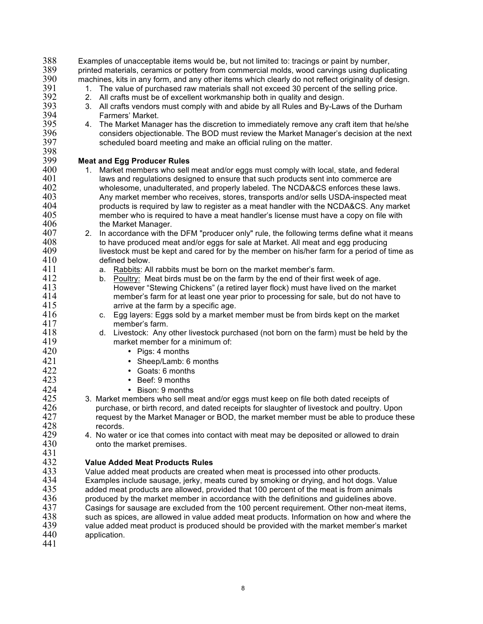| 388 | Examples of unacceptable items would be, but not limited to: tracings or paint by number,           |
|-----|-----------------------------------------------------------------------------------------------------|
| 389 | printed materials, ceramics or pottery from commercial molds, wood carvings using duplicating       |
| 390 | machines, kits in any form, and any other items which clearly do not reflect originality of design. |
| 391 | The value of purchased raw materials shall not exceed 30 percent of the selling price.<br>1.        |
| 392 | 2.<br>All crafts must be of excellent workmanship both in quality and design.                       |
| 393 | All crafts vendors must comply with and abide by all Rules and By-Laws of the Durham<br>3.          |
| 394 | Farmers' Market.                                                                                    |
| 395 | The Market Manager has the discretion to immediately remove any craft item that he/she<br>4.        |
| 396 | considers objectionable. The BOD must review the Market Manager's decision at the next              |
| 397 | scheduled board meeting and make an official ruling on the matter.                                  |
| 398 |                                                                                                     |
| 399 | <b>Meat and Egg Producer Rules</b>                                                                  |
| 400 | Market members who sell meat and/or eggs must comply with local, state, and federal<br>1.           |
| 401 | laws and regulations designed to ensure that such products sent into commerce are                   |
| 402 | wholesome, unadulterated, and properly labeled. The NCDA&CS enforces these laws.                    |
| 403 | Any market member who receives, stores, transports and/or sells USDA-inspected meat                 |
| 404 |                                                                                                     |
| 405 | products is required by law to register as a meat handler with the NCDA&CS. Any market              |
|     | member who is required to have a meat handler's license must have a copy on file with               |
| 406 | the Market Manager.                                                                                 |
| 407 | In accordance with the DFM "producer only" rule, the following terms define what it means<br>2.     |
| 408 | to have produced meat and/or eggs for sale at Market. All meat and egg producing                    |
| 409 | livestock must be kept and cared for by the member on his/her farm for a period of time as          |
| 410 | defined below.                                                                                      |
| 411 | Rabbits: All rabbits must be born on the market member's farm.<br>а.                                |
| 412 | Poultry: Meat birds must be on the farm by the end of their first week of age.<br>b.                |
| 413 | However "Stewing Chickens" (a retired layer flock) must have lived on the market                    |
| 414 | member's farm for at least one year prior to processing for sale, but do not have to                |
| 415 | arrive at the farm by a specific age.                                                               |
| 416 | Egg layers: Eggs sold by a market member must be from birds kept on the market<br>C.                |
| 417 | member's farm.                                                                                      |
| 418 | Livestock: Any other livestock purchased (not born on the farm) must be held by the<br>d.           |
| 419 | market member for a minimum of:                                                                     |
| 420 | Pigs: 4 months<br>٠                                                                                 |
| 421 | Sheep/Lamb: 6 months<br>$\bullet$                                                                   |
| 422 | • Goats: 6 months                                                                                   |
| 423 | • Beef: 9 months                                                                                    |
| 424 | • Bison: 9 months                                                                                   |
| 425 | 3. Market members who sell meat and/or eggs must keep on file both dated receipts of                |
| 426 | purchase, or birth record, and dated receipts for slaughter of livestock and poultry. Upon          |
| 427 | request by the Market Manager or BOD, the market member must be able to produce these               |
| 428 | records.                                                                                            |
| 429 | 4. No water or ice that comes into contact with meat may be deposited or allowed to drain           |
| 430 | onto the market premises.                                                                           |
| 431 |                                                                                                     |
| 432 | <b>Value Added Meat Products Rules</b>                                                              |
| 433 |                                                                                                     |
| 434 | Value added meat products are created when meat is processed into other products.                   |
| 435 | Examples include sausage, jerky, meats cured by smoking or drying, and hot dogs. Value              |
| 436 | added meat products are allowed, provided that 100 percent of the meat is from animals              |
|     | produced by the market member in accordance with the definitions and guidelines above.              |
| 437 | Casings for sausage are excluded from the 100 percent requirement. Other non-meat items,            |
| 438 | such as spices, are allowed in value added meat products. Information on how and where the          |
| 439 | value added meat product is produced should be provided with the market member's market             |
| 440 | application.                                                                                        |